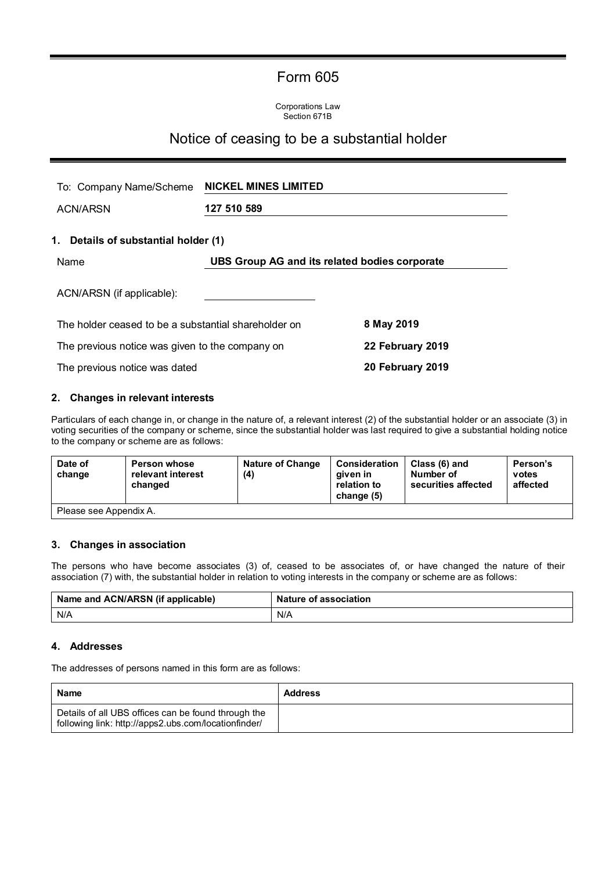# Form 605

Corporations Law Section 671B

## Notice of ceasing to be a substantial holder

| To: Company Name/Scheme                              | <b>NICKEL MINES LIMITED</b>                   |                  |  |
|------------------------------------------------------|-----------------------------------------------|------------------|--|
| <b>ACN/ARSN</b>                                      | 127 510 589                                   |                  |  |
| 1. Details of substantial holder (1)                 |                                               |                  |  |
| Name                                                 | UBS Group AG and its related bodies corporate |                  |  |
| ACN/ARSN (if applicable):                            |                                               |                  |  |
| The holder ceased to be a substantial shareholder on |                                               | 8 May 2019       |  |
| The previous notice was given to the company on      |                                               | 22 February 2019 |  |
| The previous notice was dated                        |                                               | 20 February 2019 |  |

### **2. Changes in relevant interests**

Particulars of each change in, or change in the nature of, a relevant interest (2) of the substantial holder or an associate (3) in voting securities of the company or scheme, since the substantial holder was last required to give a substantial holding notice to the company or scheme are as follows:

| Date of<br>change      | <b>Person whose</b><br>relevant interest<br>changed | <b>Nature of Change</b><br>(4) | <b>Consideration</b><br>aiven in<br>relation to<br>change (5) | Class (6) and<br>Number of<br>securities affected | Person's<br>votes<br>affected |
|------------------------|-----------------------------------------------------|--------------------------------|---------------------------------------------------------------|---------------------------------------------------|-------------------------------|
| Please see Appendix A. |                                                     |                                |                                                               |                                                   |                               |

### **3. Changes in association**

The persons who have become associates (3) of, ceased to be associates of, or have changed the nature of their association (7) with, the substantial holder in relation to voting interests in the company or scheme are as follows:

| Name and ACN/ARSN (if applicable) | <b>Nature of association</b> |
|-----------------------------------|------------------------------|
| N/A                               | N/A                          |

#### **4. Addresses**

The addresses of persons named in this form are as follows:

| <b>Name</b>                                                                                                 | <b>Address</b> |
|-------------------------------------------------------------------------------------------------------------|----------------|
| Details of all UBS offices can be found through the<br>following link: http://apps2.ubs.com/locationfinder/ |                |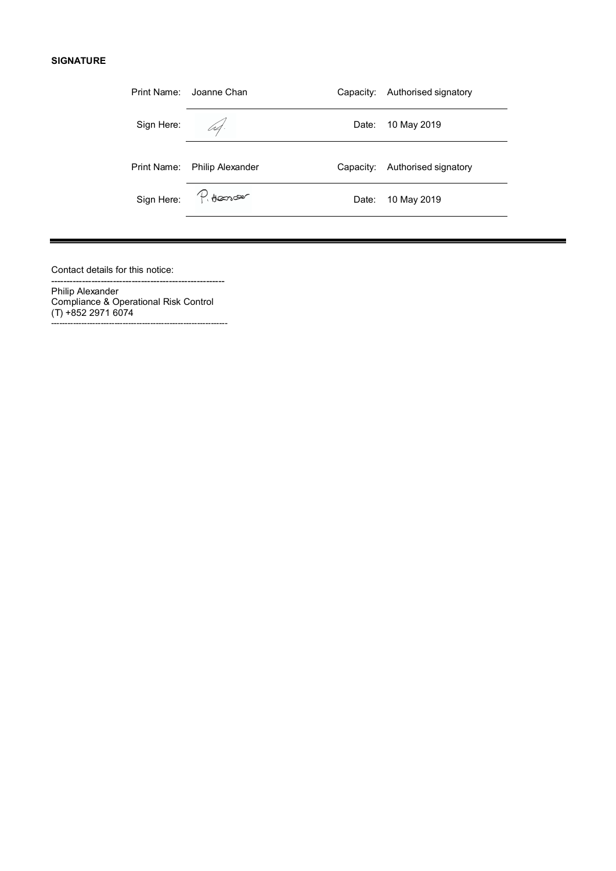#### **SIGNATURE**

| Print Name: Joanne Chan                |           | Authorised signatory |           |
|----------------------------------------|-----------|----------------------|-----------|
|                                        | Date:     | 10 May 2019          |           |
| Print Name:<br><b>Philip Alexander</b> | Capacity: | Authorised signatory |           |
| Sign Here: Reconcer                    | Date:     | 10 May 2019          |           |
|                                        |           |                      | Capacity: |

Contact details for this notice:

Philip Alexander Compliance & Operational Risk Control (T) +852 2971 6074 ----------------------------------------------------------------

--------------------------------------------------------